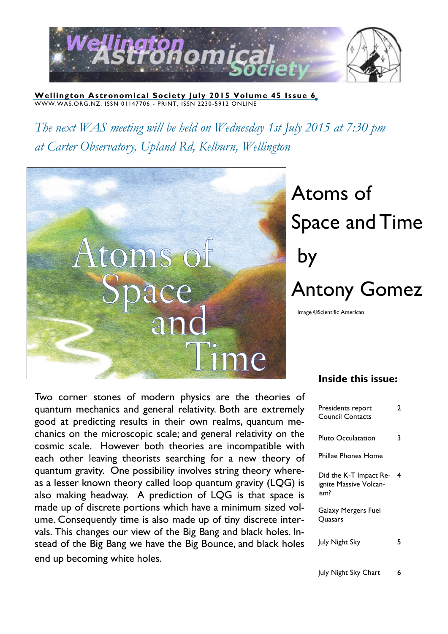

**Wellington Astronomical Society July 2015 Volume 45 Issue 6** WWW.WAS.ORG.NZ, ISSN 01147706 - PRINT, ISSN 2230 -5912 ONLINE

*The next WAS meeting will be held on Wednesday 1st July 2015 at 7:30 pm at Carter Observatory, Upland Rd, Kelburn, Wellington*



# Atoms of Space and Time by Antony Gomez

Image ©Scientific American

Two corner stones of modern physics are the theories of quantum mechanics and general relativity. Both are extremely good at predicting results in their own realms, quantum mechanics on the microscopic scale; and general relativity on the cosmic scale. However both theories are incompatible with each other leaving theorists searching for a new theory of quantum gravity. One possibility involves string theory whereas a lesser known theory called loop quantum gravity (LQG) is also making headway. A prediction of LQG is that space is made up of discrete portions which have a minimum sized volume. Consequently time is also made up of tiny discrete intervals. This changes our view of the Big Bang and black holes. Instead of the Big Bang we have the Big Bounce, and black holes end up becoming white holes.

### **Inside this issue:**

| Presidents report<br><b>Council Contacts</b>             | 2 |
|----------------------------------------------------------|---|
| Pluto Occulatation                                       | ٦ |
| Phillae Phones Home                                      |   |
| Did the K-T Impact Re-<br>ignite Massive Volcan-<br>ism? | 4 |
| Galaxy Mergers Fuel<br>Quasars                           |   |
| July Night Sky                                           |   |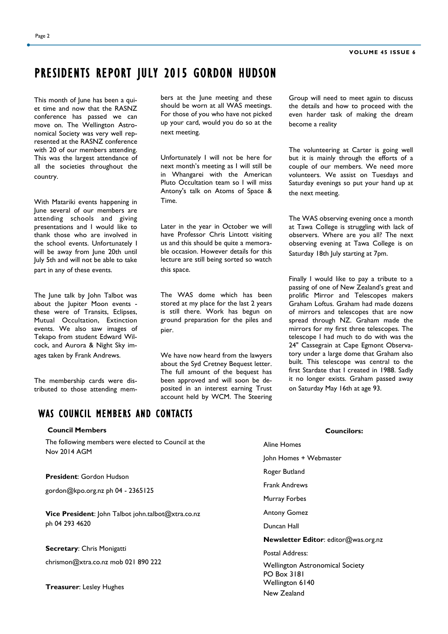# PRESIDENTS REPORT JULY 2015 GORDON HUDSON

This month of June has been a quiet time and now that the RASNZ conference has passed we can move on. The Wellington Astronomical Society was very well represented at the RASNZ conference with 20 of our members attending. This was the largest attendance of all the societies throughout the country.

With Matariki events happening in June several of our members are attending schools and giving presentations and I would like to thank those who are involved in the school events. Unfortunately I will be away from June 20th until July 5th and will not be able to take part in any of these events.

The June talk by John Talbot was about the Jupiter Moon events these were of Transits, Eclipses, Mutual Occultation, Extinction events. We also saw images of Tekapo from student Edward Wilcock, and Aurora & Night Sky images taken by Frank Andrews.

The membership cards were distributed to those attending members at the June meeting and these should be worn at all WAS meetings. For those of you who have not picked up your card, would you do so at the next meeting.

Unfortunately I will not be here for next month's meeting as I will still be in Whangarei with the American Pluto Occultation team so I will miss Antony's talk on Atoms of Space & Time.

Later in the year in October we will have Professor Chris Lintott visiting us and this should be quite a memorable occasion. However details for this lecture are still being sorted so watch this space.

The WAS dome which has been stored at my place for the last 2 years is still there. Work has begun on ground preparation for the piles and pier.

We have now heard from the lawyers about the Syd Cretney Bequest letter. The full amount of the bequest has been approved and will soon be deposited in an interest earning Trust account held by WCM. The Steering

Group will need to meet again to discuss the details and how to proceed with the even harder task of making the dream become a reality

The volunteering at Carter is going well but it is mainly through the efforts of a couple of our members. We need more volunteers. We assist on Tuesdays and Saturday evenings so put your hand up at the next meeting.

The WAS observing evening once a month at Tawa College is struggling with lack of observers. Where are you all? The next observing evening at Tawa College is on Saturday 18th July starting at 7pm.

Finally I would like to pay a tribute to a passing of one of New Zealand's great and prolific Mirror and Telescopes makers Graham Loftus. Graham had made dozens of mirrors and telescopes that are now spread through NZ. Graham made the mirrors for my first three telescopes. The telescope I had much to do with was the 24" Cassegrain at Cape Egmont Observatory under a large dome that Graham also built. This telescope was central to the first Stardate that I created in 1988. Sadly it no longer exists. Graham passed away on Saturday May 16th at age 93.

### WAS COUNCIL MEMBERS AND CONTACTS

| <b>Council Members</b>                                    | <b>Councilors:</b>                     |  |
|-----------------------------------------------------------|----------------------------------------|--|
| The following members were elected to Council at the      | Aline Homes                            |  |
| Nov 2014 AGM                                              | John Homes + Webmaster                 |  |
| <b>President: Gordon Hudson</b>                           | Roger Butland                          |  |
| gordon@kpo.org.nz ph 04 - 2365125                         | <b>Frank Andrews</b>                   |  |
|                                                           | Murray Forbes                          |  |
| <b>Vice President:</b> John Talbot john.talbot@xtra.co.nz | <b>Antony Gomez</b>                    |  |
| ph 04 293 4620                                            | Duncan Hall                            |  |
|                                                           | Newsletter Editor: editor@was.org.nz   |  |
| <b>Secretary: Chris Monigatti</b>                         | Postal Address:                        |  |
| chrismon@xtra.co.nz mob 021 890 222                       | <b>Wellington Astronomical Society</b> |  |
|                                                           | <b>PO Box 3181</b><br>Wellington 6140  |  |
| <b>Treasurer:</b> Lesley Hughes                           | New Zealand                            |  |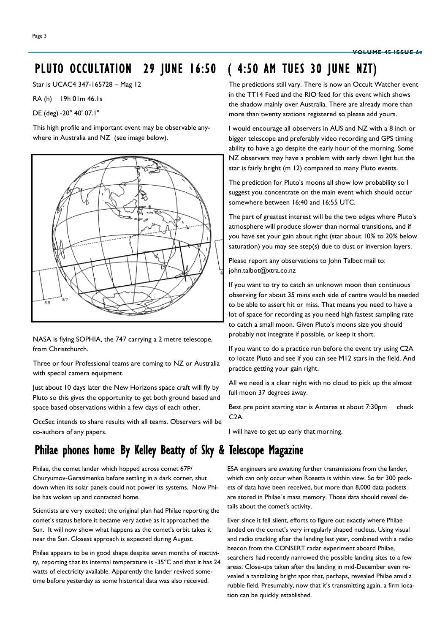## PLUTO OCCULTATION 29 JUNE 16:50 ( 4:50 AM TUES 30 JUNE NZT)

Star is UCAC4 347-165728 – Mag 12

RA (h) 19h 01m 46.1s

DE (deg) -20° 40' 07.1"

This high profile and important event may be observable anywhere in Australia and NZ (see image below).



NASA is flying SOPHIA, the 747 carrying a 2 metre telescope, from Christchurch.

Three or four Professional teams are coming to NZ or Australia with special camera equipment.

Just about 10 days later the New Horizons space craft will fly by Pluto so this gives the opportunity to get both ground based and space based observations within a few days of each other.

OccSec intends to share results with all teams. Observers will be co-authors of any papers.

# Philae phones home By Kelley Beatty of Sky & Telescope Magazine

Philae, the comet lander which hopped across comet 67P/ Churyumov-Gerasimenko before settling in a dark corner, shut down when its solar panels could not power its systems. Now Philae has woken up and contacted home.

Scientists are very excited; the original plan had Philae reporting the comet's status before it became very active as it approached the Sun. It will now show what happens as the comet's orbit takes it near the Sun. Closest approach is expected during August.

Philae appears to be in good shape despite seven months of inactivity, reporting that its internal temperature is -35ºC and that it has 24 watts of electricity available. Apparently the lander revived sometime before yesterday as some historical data was also received.

The predictions still vary. There is now an Occult Watcher event in the TT14 Feed and the RIO feed for this event which shows the shadow mainly over Australia. There are already more than more than twenty stations registered so please add yours.

I would encourage all observers in AUS and NZ with a 8 inch or bigger telescope and preferably video recording and GPS timing ability to have a go despite the early hour of the morning. Some NZ observers may have a problem with early dawn light but the star is fairly bright (m 12) compared to many Pluto events.

The prediction for Pluto's moons all show low probability so I suggest you concentrate on the main event which should occur somewhere between 16:40 and 16:55 UTC.

The part of greatest interest will be the two edges where Pluto's atmosphere will produce slower than normal transitions, and if you have set your gain about right (star about 10% to 20% below saturation) you may see step(s) due to dust or inversion layers.

Please report any observations to John Talbot mail to: john.talbot@xtra.co.nz

If you want to try to catch an unknown moon then continuous observing for about 35 mins each side of centre would be needed to be able to assert hit or miss. That means you need to have a lot of space for recording as you need high fastest sampling rate to catch a small moon. Given Pluto's moons size you should probably not integrate if possible, or keep it short.

If you want to do a practice run before the event try using C2A to locate Pluto and see if you can see M12 stars in the field. And practice getting your gain right.

All we need is a clear night with no cloud to pick up the almost full moon 37 degrees away.

Best pre point starting star is Antares at about 7:30pm check C2A.

I will have to get up early that morning.

ESA engineers are awaiting further transmissions from the lander, which can only occur when Rosetta is within view. So far 300 packets of data have been received, but more than 8,000 data packets are stored in Philae´s mass memory. Those data should reveal details about the comet's activity.

Ever since it fell silent, efforts to figure out exactly where Philae landed on the comet's very irregularly shaped nucleus. Using visual and radio tracking after the landing last year, combined with a radio beacon from the CONSERT radar experiment aboard Philae, searchers had recently narrowed the possible landing sites to a few areas. Close-ups taken after the landing in mid-December even revealed a tantalizing bright spot that, perhaps, revealed Philae amid a rubble field. Presumably, now that it's transmitting again, a firm location can be quickly established.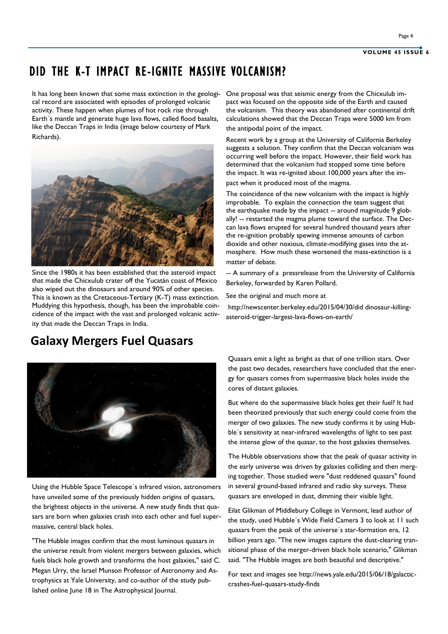# DID THE K-T IMPACT RE-IGNITE MASSIVE VOLCANISM?

It has long been known that some mass extinction in the geologi-One proposal was that seismic energy from the Chicxulub imcal record are associated with episodes of prolonged volcanic activity. These happen when plumes of hot rock rise through Earth´s mantle and generate huge lava flows, called flood basalts, like the Deccan Traps in India (image below courtesy of Mark Richards).



Since the 1980s it has been established that the asteroid impact that made the Chicxulub crater off the Yucatán coast of Mexico also wiped out the dinosaurs and around 90% of other species. This is known as the Cretaceous-Tertiary (K-T) mass extinction. Muddying this hypothesis, though, has been the improbable coincidence of the impact with the vast and prolonged volcanic activity that made the Deccan Traps in India.

**Galaxy Mergers Fuel Quasars**

pact was focused on the opposite side of the Earth and caused the volcanism. This theory was abandoned after continental drift calculations showed that the Deccan Traps were 5000 km from the antipodal point of the impact.

Recent work by a group at the University of California Berkeley suggests a solution. They confirm that the Deccan volcanism was occurring well before the impact. However, their field work has determined that the volcanism had stopped some time before the impact. It was re-ignited about 100,000 years after the impact when it produced most of the magma.

The coincidence of the new volcanism with the impact is highly improbable. To explain the connection the team suggest that the earthquake made by the impact -- around magnitude 9 globally! -- restarted the magma plume toward the surface. The Deccan lava flows erupted for several hundred thousand years after the re-ignition probably spewing immense amounts of carbon dioxide and other noxious, climate-modifying gases into the atmosphere. How much these worsened the mass-extinction is a matter of debate.

-- A summary of a pressrelease from the University of California Berkeley, forwarded by Karen Pollard.

See the original and much more at

http://newscenter.berkeley.edu/2015/04/30/did dinosaur-killingasteroid-trigger-largest-lava-flows-on-earth/



Using the Hubble Space Telescope´s infrared vision, astronomers have unveiled some of the previously hidden origins of quasars, the brightest objects in the universe. A new study finds that quasars are born when galaxies crash into each other and fuel supermassive, central black holes.

"The Hubble images confirm that the most luminous quasars in the universe result from violent mergers between galaxies, which fuels black hole growth and transforms the host galaxies," said C. Megan Urry, the Israel Munson Professor of Astronomy and Astrophysics at Yale University, and co-author of the study published online June 18 in The Astrophysical Journal.

Quasars emit a light as bright as that of one trillion stars. Over the past two decades, researchers have concluded that the energy for quasars comes from supermassive black holes inside the cores of distant galaxies.

But where do the supermassive black holes get their fuel? It had been theorized previously that such energy could come from the merger of two galaxies. The new study confirms it by using Hubble´s sensitivity at near-infrared wavelengths of light to see past the intense glow of the quasar, to the host galaxies themselves.

The Hubble observations show that the peak of quasar activity in the early universe was driven by galaxies colliding and then merging together. Those studied were "dust reddened quasars" found in several ground-based infrared and radio sky surveys. These quasars are enveloped in dust, dimming their visible light.

Eilat Glikman of Middlebury College in Vermont, lead author of the study, used Hubble´s Wide Field Camera 3 to look at 11 such quasars from the peak of the universe´s star-formation era, 12 billion years ago. "The new images capture the dust-clearing transitional phase of the merger-driven black hole scenario," Glikman said. "The Hubble images are both beautiful and descriptive."

For text and images see http://news.yale.edu/2015/06/18/galacticcrashes-fuel-quasars-study-finds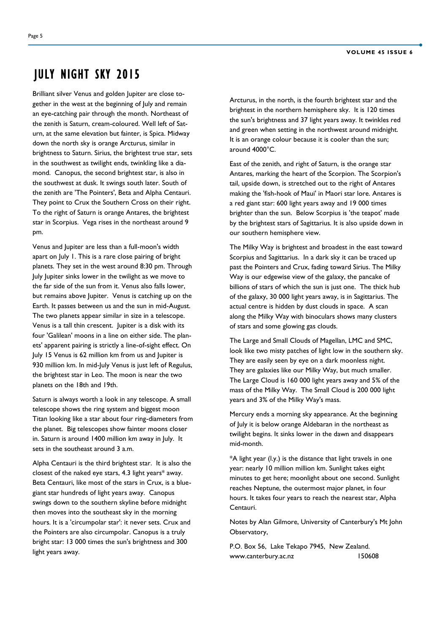## JULY NIGHT SKY 2015

Brilliant silver Venus and golden Jupiter are close together in the west at the beginning of July and remain an eye-catching pair through the month. Northeast of the zenith is Saturn, cream-coloured. Well left of Saturn, at the same elevation but fainter, is Spica. Midway down the north sky is orange Arcturus, similar in brightness to Saturn. Sirius, the brightest true star, sets in the southwest as twilight ends, twinkling like a diamond. Canopus, the second brightest star, is also in the southwest at dusk. It swings south later. South of the zenith are 'The Pointers', Beta and Alpha Centauri. They point to Crux the Southern Cross on their right. To the right of Saturn is orange Antares, the brightest star in Scorpius. Vega rises in the northeast around 9 pm.

Venus and Jupiter are less than a full-moon's width apart on July 1. This is a rare close pairing of bright planets. They set in the west around 8:30 pm. Through July Jupiter sinks lower in the twilight as we move to the far side of the sun from it. Venus also falls lower, but remains above Jupiter. Venus is catching up on the Earth. It passes between us and the sun in mid-August. The two planets appear similar in size in a telescope. Venus is a tall thin crescent. Jupiter is a disk with its four 'Galilean' moons in a line on either side. The planets' apparent pairing is strictly a line-of-sight effect. On July 15 Venus is 62 million km from us and Jupiter is 930 million km. In mid-July Venus is just left of Regulus, the brightest star in Leo. The moon is near the two planets on the 18th and 19th.

Saturn is always worth a look in any telescope. A small telescope shows the ring system and biggest moon Titan looking like a star about four ring-diameters from the planet. Big telescopes show fainter moons closer in. Saturn is around 1400 million km away in July. It sets in the southeast around 3 a.m.

Alpha Centauri is the third brightest star. It is also the closest of the naked eye stars, 4.3 light years\* away. Beta Centauri, like most of the stars in Crux, is a bluegiant star hundreds of light years away. Canopus swings down to the southern skyline before midnight then moves into the southeast sky in the morning hours. It is a 'circumpolar star': it never sets. Crux and the Pointers are also circumpolar. Canopus is a truly bright star: 13 000 times the sun's brightness and 300 light years away.

Arcturus, in the north, is the fourth brightest star and the brightest in the northern hemisphere sky. It is 120 times the sun's brightness and 37 light years away. It twinkles red and green when setting in the northwest around midnight. It is an orange colour because it is cooler than the sun; around 4000°C.

East of the zenith, and right of Saturn, is the orange star Antares, marking the heart of the Scorpion. The Scorpion's tail, upside down, is stretched out to the right of Antares making the 'fish-hook of Maui' in Maori star lore. Antares is a red giant star: 600 light years away and 19 000 times brighter than the sun. Below Scorpius is 'the teapot' made by the brightest stars of Sagittarius. It is also upside down in our southern hemisphere view.

The Milky Way is brightest and broadest in the east toward Scorpius and Sagittarius. In a dark sky it can be traced up past the Pointers and Crux, fading toward Sirius. The Milky Way is our edgewise view of the galaxy, the pancake of billions of stars of which the sun is just one. The thick hub of the galaxy, 30 000 light years away, is in Sagittarius. The actual centre is hidden by dust clouds in space. A scan along the Milky Way with binoculars shows many clusters of stars and some glowing gas clouds.

The Large and Small Clouds of Magellan, LMC and SMC, look like two misty patches of light low in the southern sky. They are easily seen by eye on a dark moonless night. They are galaxies like our Milky Way, but much smaller. The Large Cloud is 160 000 light years away and 5% of the mass of the Milky Way. The Small Cloud is 200 000 light years and 3% of the Milky Way's mass.

Mercury ends a morning sky appearance. At the beginning of July it is below orange Aldebaran in the northeast as twilight begins. It sinks lower in the dawn and disappears mid-month.

\*A light year (l.y.) is the distance that light travels in one year: nearly 10 million million km. Sunlight takes eight minutes to get here; moonlight about one second. Sunlight reaches Neptune, the outermost major planet, in four hours. It takes four years to reach the nearest star, Alpha Centauri.

Notes by Alan Gilmore, University of Canterbury's Mt John Observatory,

P.O. Box 56, Lake Tekapo 7945, New Zealand. www.canterbury.ac.nz 150608